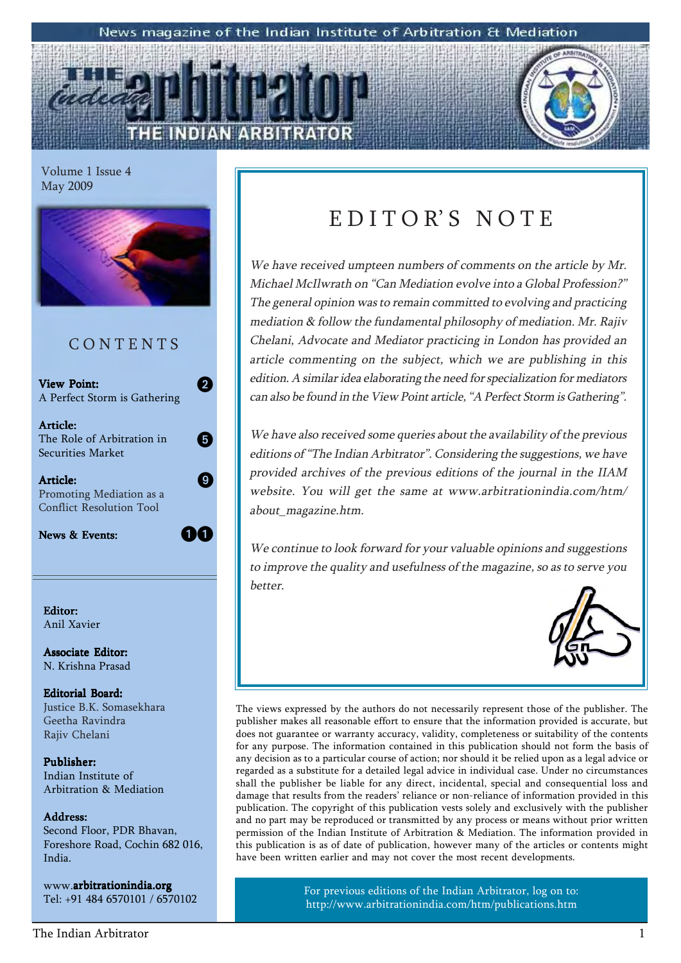#### News magazine of the Indian Institute of Arbitration & Mediation

Volume 1 Issue 4 May 2009



Securities Market

Article: Promoting Mediation as a Conflict Resolution Tool

News & Events:

04

9

Editor: Anil Xavier

Associate Editor: N. Krishna Prasad

Editorial Board: Justice B.K. Somasekhara Geetha Ravindra Rajiv Chelani

Publisher: Indian Institute of Arbitration & Mediation

#### Address:

Second Floor, PDR Bhavan, Foreshore Road, Cochin 682 016, India.

www.arbitrationindia.org Tel: +91 484 6570101 / 6570102

## EDITOR'S NOTE

We have received umpteen numbers of comments on the article by Mr. Michael McIlwrath on "Can Mediation evolve into a Global Profession?" The general opinion was to remain committed to evolving and practicing mediation & follow the fundamental philosophy of mediation. Mr. Rajiv Chelani, Advocate and Mediator practicing in London has provided an article commenting on the subject, which we are publishing in this edition. A similar idea elaborating the need for specialization for mediators can also be found in the View Point article, "A Perfect Storm is Gathering".

We have also received some queries about the availability of the previous editions of "The Indian Arbitrator". Considering the suggestions, we have provided archives of the previous editions of the journal in the IIAM website. You will get the same at www.arbitrationindia.com/htm/ about\_magazine.htm.

We continue to look forward for your valuable opinions and suggestions to improve the quality and usefulness of the magazine, so as to serve you better.



The views expressed by the authors do not necessarily represent those of the publisher. The publisher makes all reasonable effort to ensure that the information provided is accurate, but does not guarantee or warranty accuracy, validity, completeness or suitability of the contents for any purpose. The information contained in this publication should not form the basis of any decision as to a particular course of action; nor should it be relied upon as a legal advice or regarded as a substitute for a detailed legal advice in individual case. Under no circumstances shall the publisher be liable for any direct, incidental, special and consequential loss and damage that results from the readers' reliance or non-reliance of information provided in this publication. The copyright of this publication vests solely and exclusively with the publisher and no part may be reproduced or transmitted by any process or means without prior written permission of the Indian Institute of Arbitration & Mediation. The information provided in this publication is as of date of publication, however many of the articles or contents might have been written earlier and may not cover the most recent developments.

> For previous editions of the Indian Arbitrator, log on to: http://www.arbitrationindia.com/htm/publications.htm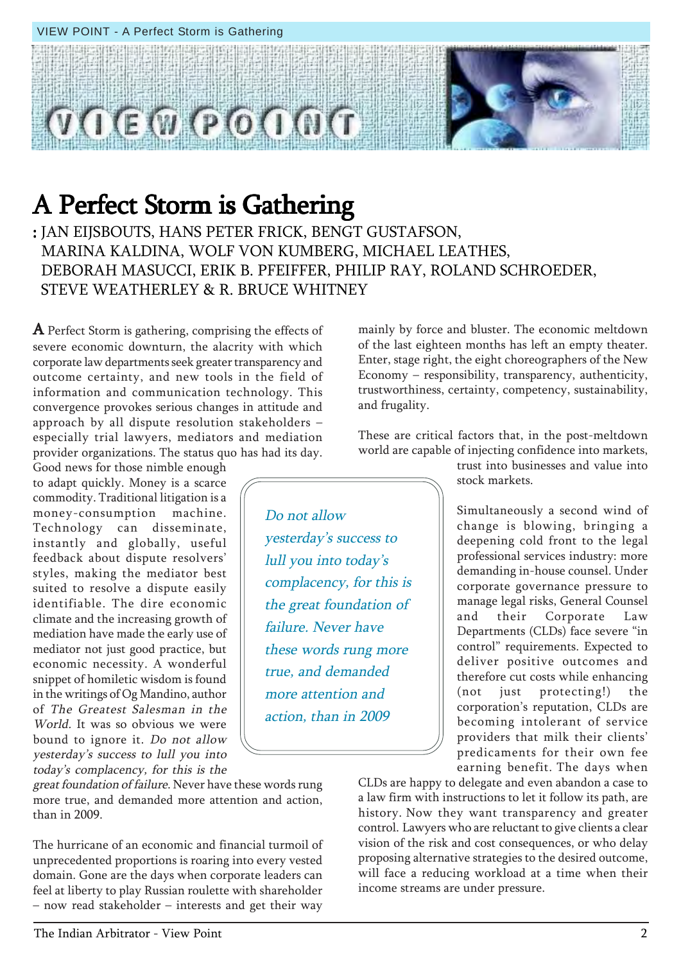STEVE WEATHERLEY & R. BRUCE WHITNEY A Perfect Storm is gathering, comprising the effects of severe economic downturn, the alacrity with which corporate law departments seek greater transparency and outcome certainty, and new tools in the field of information and communication technology. This

# convergence provokes serious changes in attitude and approach by all dispute resolution stakeholders  $$ especially trial lawyers, mediators and mediation

provider organizations. The status quo has had its day.

Good news for those nimble enough to adapt quickly. Money is a scarce commodity. Traditional litigation is a money-consumption machine. Technology can disseminate, instantly and globally, useful feedback about dispute resolvers' styles, making the mediator best suited to resolve a dispute easily identifiable. The dire economic climate and the increasing growth of mediation have made the early use of mediator not just good practice, but economic necessity. A wonderful snippet of homiletic wisdom is found in the writings of Og Mandino, author of The Greatest Salesman in the World. It was so obvious we were bound to ignore it. Do not allow yesterday's success to lull you into today's complacency, for this is the

great foundation of failure. Never have these words rung more true, and demanded more attention and action, than in 2009.

The hurricane of an economic and financial turmoil of unprecedented proportions is roaring into every vested domain. Gone are the days when corporate leaders can feel at liberty to play Russian roulette with shareholder  $-$  now read stakeholder  $-$  interests and get their way

mainly by force and bluster. The economic meltdown of the last eighteen months has left an empty theater. Enter, stage right, the eight choreographers of the New  $E_{\text{conomy}}$  – responsibility, transparency, authenticity, trustworthiness, certainty, competency, sustainability, and frugality.

These are critical factors that, in the post-meltdown world are capable of injecting confidence into markets,

Do not allow yesterday's success to lull you into today's complacency, for this is the great foundation of failure. Never have these words rung more true, and demanded more attention and action, than in 2009

trust into businesses and value into stock markets.

Simultaneously a second wind of change is blowing, bringing a deepening cold front to the legal professional services industry: more demanding in-house counsel. Under corporate governance pressure to manage legal risks, General Counsel and their Corporate Law Departments (CLDs) face severe "in control" requirements. Expected to deliver positive outcomes and therefore cut costs while enhancing (not just protecting!) the corporation's reputation, CLDs are becoming intolerant of service providers that milk their clients' predicaments for their own fee earning benefit. The days when

CLDs are happy to delegate and even abandon a case to a law firm with instructions to let it follow its path, are history. Now they want transparency and greater control. Lawyers who are reluctant to give clients a clear vision of the risk and cost consequences, or who delay proposing alternative strategies to the desired outcome, will face a reducing workload at a time when their income streams are under pressure.

### VIEW POINT - A Perfect Storm is Gathering

A Perfect Storm is Gathering

: JAN EIJSBOUTS, HANS PETER FRICK, BENGT GUSTAFSON,

MARINA KALDINA, WOLF VON KUMBERG, MICHAEL LEATHES,

DEBORAH MASUCCI, ERIK B. PFEIFFER, PHILIP RAY, ROLAND SCHROEDER,

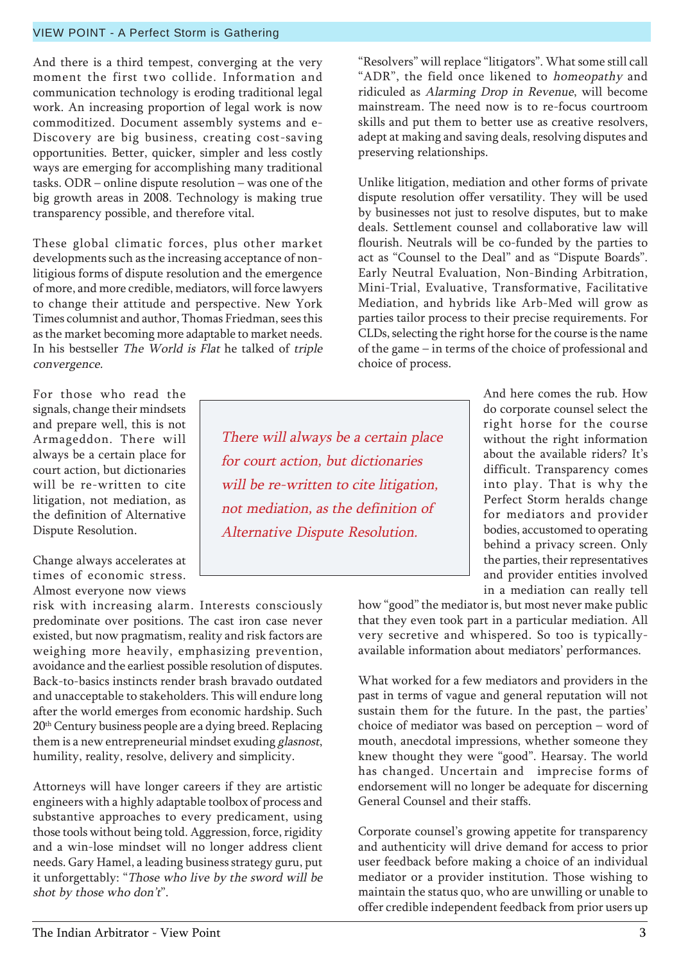#### to change their attitude and perspective. New York Times columnist and author, Thomas Friedman, sees this

convergence. For those who read the signals, change their mindsets and prepare well, this is not Armageddon. There will always be a certain place for court action, but dictionaries will be re-written to cite litigation, not mediation, as the definition of Alternative

Change always accelerates at times of economic stress. Almost everyone now views

Dispute Resolution.

risk with increasing alarm. Interests consciously predominate over positions. The cast iron case never existed, but now pragmatism, reality and risk factors are weighing more heavily, emphasizing prevention, avoidance and the earliest possible resolution of disputes. Back-to-basics instincts render brash bravado outdated and unacceptable to stakeholders. This will endure long after the world emerges from economic hardship. Such 20th Century business people are a dying breed. Replacing them is a new entrepreneurial mindset exuding glasnost, humility, reality, resolve, delivery and simplicity.

And there is a third tempest, converging at the very moment the first two collide. Information and communication technology is eroding traditional legal work. An increasing proportion of legal work is now commoditized. Document assembly systems and e-Discovery are big business, creating cost-saving opportunities. Better, quicker, simpler and less costly ways are emerging for accomplishing many traditional tasks. ODR  $-$  online dispute resolution  $-$  was one of the big growth areas in 2008. Technology is making true

VIEW POINT - A Perfect Storm is Gathering

These global climatic forces, plus other market developments such as the increasing acceptance of nonlitigious forms of dispute resolution and the emergence of more, and more credible, mediators, will force lawyers

as the market becoming more adaptable to market needs. In his bestseller The World is Flat he talked of triple

transparency possible, and therefore vital.

Attorneys will have longer careers if they are artistic engineers with a highly adaptable toolbox of process and substantive approaches to every predicament, using those tools without being told. Aggression, force, rigidity and a win-lose mindset will no longer address client needs. Gary Hamel, a leading business strategy guru, put it unforgettably: "Those who live by the sword will be shot by those who don't".

There will always be a certain place for court action, but dictionaries will be re-written to cite litigation, not mediation, as the definition of Alternative Dispute Resolution.

"Resolvers" will replace "litigators". What some still call "ADR", the field once likened to homeopathy and ridiculed as Alarming Drop in Revenue, will become mainstream. The need now is to re-focus courtroom skills and put them to better use as creative resolvers, adept at making and saving deals, resolving disputes and preserving relationships.

Unlike litigation, mediation and other forms of private dispute resolution offer versatility. They will be used by businesses not just to resolve disputes, but to make deals. Settlement counsel and collaborative law will flourish. Neutrals will be co-funded by the parties to act as "Counsel to the Deal" and as "Dispute Boards". Early Neutral Evaluation, Non-Binding Arbitration, Mini-Trial, Evaluative, Transformative, Facilitative Mediation, and hybrids like Arb-Med will grow as parties tailor process to their precise requirements. For CLDs, selecting the right horse for the course is the name of the game – in terms of the choice of professional and choice of process.

> And here comes the rub. How do corporate counsel select the right horse for the course without the right information about the available riders? It's difficult. Transparency comes into play. That is why the Perfect Storm heralds change for mediators and provider bodies, accustomed to operating behind a privacy screen. Only the parties, their representatives and provider entities involved in a mediation can really tell

how "good" the mediator is, but most never make public that they even took part in a particular mediation. All very secretive and whispered. So too is typicallyavailable information about mediators' performances.

What worked for a few mediators and providers in the past in terms of vague and general reputation will not sustain them for the future. In the past, the parties' choice of mediator was based on perception  $-$  word of mouth, anecdotal impressions, whether someone they knew thought they were "good". Hearsay. The world has changed. Uncertain and imprecise forms of endorsement will no longer be adequate for discerning General Counsel and their staffs.

Corporate counsel's growing appetite for transparency and authenticity will drive demand for access to prior user feedback before making a choice of an individual mediator or a provider institution. Those wishing to maintain the status quo, who are unwilling or unable to offer credible independent feedback from prior users up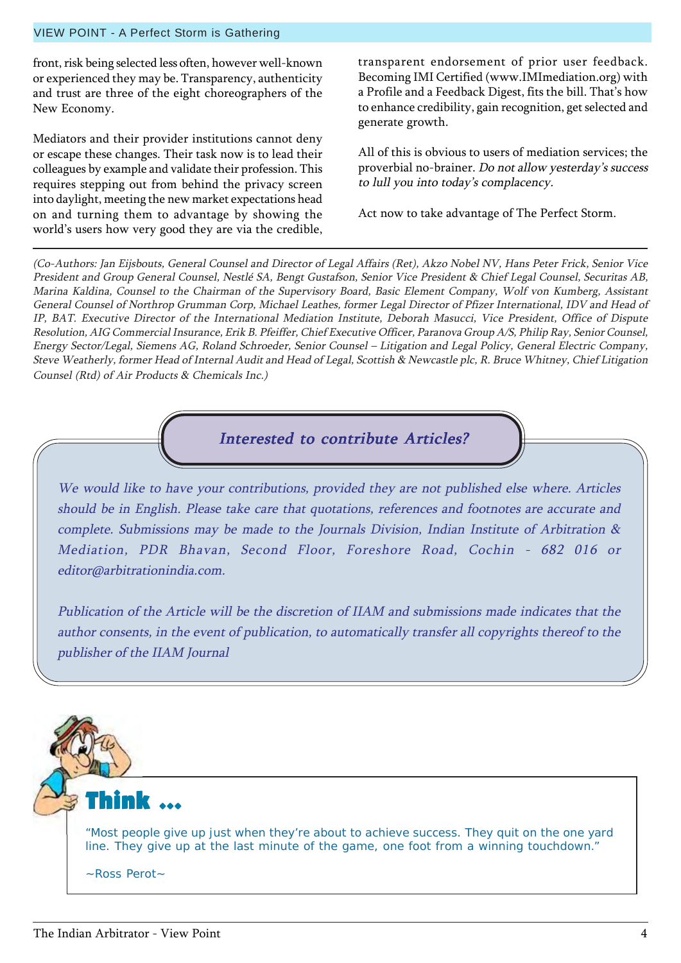#### VIEW POINT - A Perfect Storm is Gathering

front, risk being selected less often, however well-known or experienced they may be. Transparency, authenticity and trust are three of the eight choreographers of the New Economy.

Mediators and their provider institutions cannot deny or escape these changes. Their task now is to lead their colleagues by example and validate their profession. This requires stepping out from behind the privacy screen into daylight, meeting the new market expectations head on and turning them to advantage by showing the world's users how very good they are via the credible, transparent endorsement of prior user feedback. Becoming IMI Certified (www.IMImediation.org) with a Profile and a Feedback Digest, fits the bill. That's how to enhance credibility, gain recognition, get selected and generate growth.

All of this is obvious to users of mediation services; the proverbial no-brainer. Do not allow yesterday's success to lull you into today's complacency.

Act now to take advantage of The Perfect Storm.

(Co-Authors: Jan Eijsbouts, General Counsel and Director of Legal Affairs (Ret), Akzo Nobel NV, Hans Peter Frick, Senior Vice President and Group General Counsel, Nestlé SA, Bengt Gustafson, Senior Vice President & Chief Legal Counsel, Securitas AB, Marina Kaldina, Counsel to the Chairman of the Supervisory Board, Basic Element Company, Wolf von Kumberg, Assistant General Counsel of Northrop Grumman Corp, Michael Leathes, former Legal Director of Pfizer International, IDV and Head of IP, BAT. Executive Director of the International Mediation Institute, Deborah Masucci, Vice President, Office of Dispute Resolution, AIG Commercial Insurance, Erik B. Pfeiffer, Chief Executive Officer, Paranova Group A/S, Philip Ray, Senior Counsel, Energy Sector/Legal, Siemens AG, Roland Schroeder, Senior Counsel – Litigation and Legal Policy, General Electric Company, Steve Weatherly, former Head of Internal Audit and Head of Legal, Scottish & Newcastle plc, R. Bruce Whitney, Chief Litigation Counsel (Rtd) of Air Products & Chemicals Inc.)



We would like to have your contributions, provided they are not published else where. Articles should be in English. Please take care that quotations, references and footnotes are accurate and complete. Submissions may be made to the Journals Division, Indian Institute of Arbitration & Mediation, PDR Bhavan, Second Floor, Foreshore Road, Cochin - 682 016 or editor@arbitrationindia.com.

Publication of the Article will be the discretion of IIAM and submissions made indicates that the author consents, in the event of publication, to automatically transfer all copyrights thereof to the publisher of the IIAM Journal

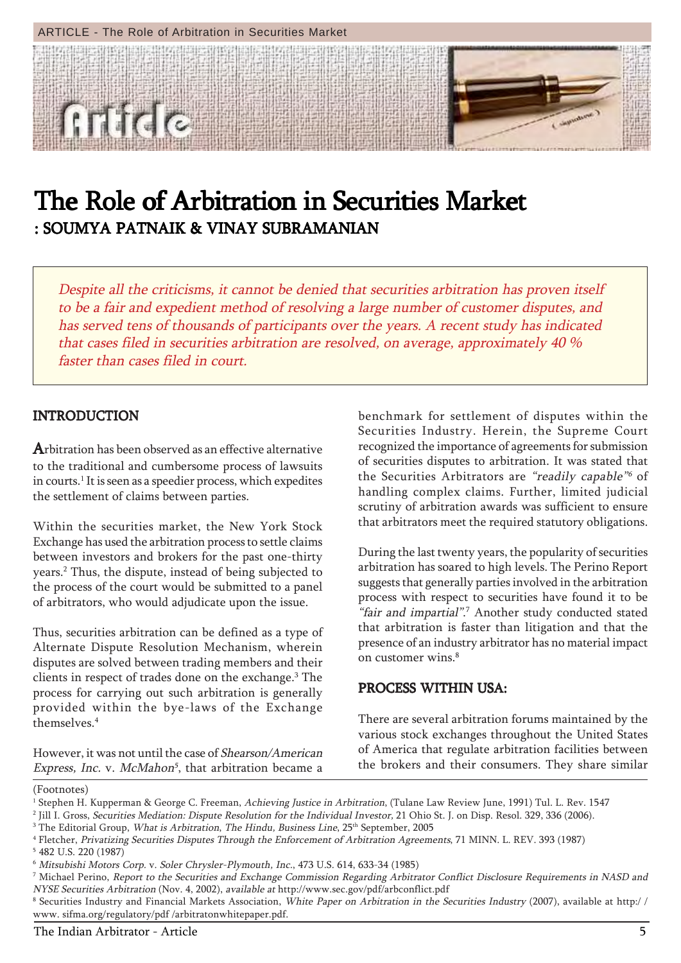

## The Role of Arbitration in Securities Market : SOUMYA PATNAIK & VINAY SUBRAMANIAN

Despite all the criticisms, it cannot be denied that securities arbitration has proven itself to be a fair and expedient method of resolving a large number of customer disputes, and has served tens of thousands of participants over the years. A recent study has indicated that cases filed in securities arbitration are resolved, on average, approximately 40 % faster than cases filed in court.

#### INTRODUCTION

Arbitration has been observed as an effective alternative to the traditional and cumbersome process of lawsuits in courts. $^{\rm 1}$  It is seen as a speedier process, which expedites the settlement of claims between parties.

Within the securities market, the New York Stock Exchange has used the arbitration process to settle claims between investors and brokers for the past one-thirty years.2 Thus, the dispute, instead of being subjected to the process of the court would be submitted to a panel of arbitrators, who would adjudicate upon the issue.

Thus, securities arbitration can be defined as a type of Alternate Dispute Resolution Mechanism, wherein disputes are solved between trading members and their clients in respect of trades done on the exchange.<sup>3</sup> The process for carrying out such arbitration is generally provided within the bye-laws of the Exchange themselves.4

However, it was not until the case of Shearson/American Express, Inc. v. McMahon<sup>5</sup>, that arbitration became a

benchmark for settlement of disputes within the Securities Industry. Herein, the Supreme Court recognized the importance of agreements for submission of securities disputes to arbitration. It was stated that the Securities Arbitrators are "readily capable"6 of handling complex claims. Further, limited judicial scrutiny of arbitration awards was sufficient to ensure that arbitrators meet the required statutory obligations.

During the last twenty years, the popularity of securities arbitration has soared to high levels. The Perino Report suggests that generally parties involved in the arbitration process with respect to securities have found it to be "fair and impartial".<sup>7</sup> Another study conducted stated that arbitration is faster than litigation and that the presence of an industry arbitrator has no material impact on customer wins.<sup>8</sup>

#### PROCESS WITHIN USA: PROCESS WITHIN USA:

There are several arbitration forums maintained by the various stock exchanges throughout the United States of America that regulate arbitration facilities between the brokers and their consumers. They share similar

(Footnotes)

<sup>&</sup>lt;sup>1</sup> Stephen H. Kupperman & George C. Freeman, *Achieving Justice in Arbitration*, (Tulane Law Review June, 1991) Tul. L. Rev. 1547

<sup>&</sup>lt;sup>2</sup> Jill I. Gross, *Securities Mediation: Dispute Resolution for the Individual Investor,* 21 Ohio St. J. on Disp. Resol. 329, 336 (2006).

 $^3$  The Editorial Group, *What is Arbitration, The Hindu, Business Line*, 25<sup>th</sup> September, 2005

<sup>4</sup> Fletcher, Privatizing Securities Disputes Through the Enforcement of Arbitration Agreements, 71 MINN. L. REV. 393 (1987)

<sup>5</sup> 482 U.S. 220 (1987)

<sup>6</sup> Mitsubishi Motors Corp. v. Soler Chrysler-Plymouth, Inc., 473 U.S. 614, 633-34 (1985)

<sup>7</sup> Michael Perino, Report to the Securities and Exchange Commission Regarding Arbitrator Conflict Disclosure Requirements in NASD and NYSE Securities Arbitration (Nov. 4, 2002), available at http://www.sec.gov/pdf/arbconflict.pdf

<sup>&</sup>lt;sup>8</sup> Securities Industry and Financial Markets Association, *White Paper on Arbitration in the Securities Industry* (2007), available at http:// www. sifma.org/regulatory/pdf /arbitratonwhitepaper.pdf.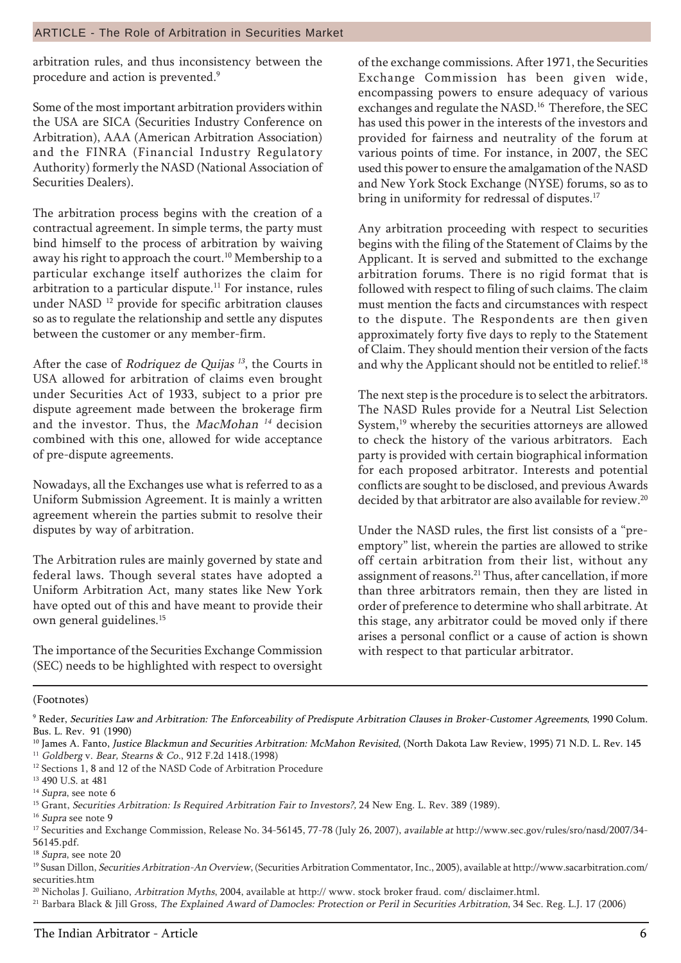arbitration rules, and thus inconsistency between the procedure and action is prevented.<sup>9</sup>

Some of the most important arbitration providers within the USA are SICA (Securities Industry Conference on Arbitration), AAA (American Arbitration Association) and the FINRA (Financial Industry Regulatory Authority) formerly the NASD (National Association of Securities Dealers).

The arbitration process begins with the creation of a contractual agreement. In simple terms, the party must bind himself to the process of arbitration by waiving away his right to approach the court.<sup>10</sup> Membership to a particular exchange itself authorizes the claim for arbitration to a particular dispute.<sup>11</sup> For instance, rules under NASD<sup>12</sup> provide for specific arbitration clauses so as to regulate the relationship and settle any disputes between the customer or any member-firm.

After the case of *Rodriquez de Quijas*  $^{13}$ , the Courts in USA allowed for arbitration of claims even brought under Securities Act of 1933, subject to a prior pre dispute agreement made between the brokerage firm and the investor. Thus, the MacMohan<sup>14</sup> decision combined with this one, allowed for wide acceptance of pre-dispute agreements.

Nowadays, all the Exchanges use what is referred to as a Uniform Submission Agreement. It is mainly a written agreement wherein the parties submit to resolve their disputes by way of arbitration.

The Arbitration rules are mainly governed by state and federal laws. Though several states have adopted a Uniform Arbitration Act, many states like New York have opted out of this and have meant to provide their own general guidelines.15

The importance of the Securities Exchange Commission (SEC) needs to be highlighted with respect to oversight of the exchange commissions. After 1971, the Securities Exchange Commission has been given wide, encompassing powers to ensure adequacy of various exchanges and regulate the NASD.<sup>16</sup> Therefore, the SEC has used this power in the interests of the investors and provided for fairness and neutrality of the forum at various points of time. For instance, in 2007, the SEC used this power to ensure the amalgamation of the NASD and New York Stock Exchange (NYSE) forums, so as to bring in uniformity for redressal of disputes.<sup>17</sup>

Any arbitration proceeding with respect to securities begins with the filing of the Statement of Claims by the Applicant. It is served and submitted to the exchange arbitration forums. There is no rigid format that is followed with respect to filing of such claims. The claim must mention the facts and circumstances with respect to the dispute. The Respondents are then given approximately forty five days to reply to the Statement of Claim. They should mention their version of the facts and why the Applicant should not be entitled to relief.<sup>18</sup>

The next step is the procedure is to select the arbitrators. The NASD Rules provide for a Neutral List Selection System,<sup>19</sup> whereby the securities attorneys are allowed to check the history of the various arbitrators. Each party is provided with certain biographical information for each proposed arbitrator. Interests and potential conflicts are sought to be disclosed, and previous Awards decided by that arbitrator are also available for review.<sup>20</sup>

Under the NASD rules, the first list consists of a "preemptory" list, wherein the parties are allowed to strike off certain arbitration from their list, without any assignment of reasons.21 Thus, after cancellation, if more than three arbitrators remain, then they are listed in order of preference to determine who shall arbitrate. At this stage, any arbitrator could be moved only if there arises a personal conflict or a cause of action is shown with respect to that particular arbitrator.

(Footnotes)

9 Reder, Securities Law and Arbitration: The Enforceability of Predispute Arbitration Clauses in Broker-Customer Agreements, 1990 Colum. Bus. L. Rev. 91 (1990)

<sup>10</sup> James A. Fanto, Justice Blackmun and Securities Arbitration: McMahon Revisited, (North Dakota Law Review, 1995) 71 N.D. L. Rev. 145

<sup>11</sup> Goldberg v. Bear, Stearns & Co., 912 F.2d 1418.(1998) <sup>12</sup> Sections 1, 8 and 12 of the NASD Code of Arbitration Procedure

<sup>13</sup> 490 U.S. at 481

<sup>&</sup>lt;sup>14</sup> Supra, see note 6

<sup>&</sup>lt;sup>15</sup> Grant, Securities Arbitration: Is Required Arbitration Fair to Investors?, 24 New Eng. L. Rev. 389 (1989).

<sup>&</sup>lt;sup>16</sup> Supra see note 9

<sup>&</sup>lt;sup>17</sup> Securities and Exchange Commission, Release No. 34-56145, 77-78 (July 26, 2007), available at http://www.sec.gov/rules/sro/nasd/2007/34-56145.pdf.

<sup>&</sup>lt;sup>18</sup> Supra, see note 20

<sup>&</sup>lt;sup>19</sup> Susan Dillon, Securities Arbitration-An Overview, (Securities Arbitration Commentator, Inc., 2005), available at http://www.sacarbitration.com/ securities.htm

<sup>&</sup>lt;sup>20</sup> Nicholas J. Guiliano, Arbitration Myths, 2004, available at http:// www. stock broker fraud. com/ disclaimer.html.

<sup>&</sup>lt;sup>21</sup> Barbara Black & Jill Gross, The Explained Award of Damocles: Protection or Peril in Securities Arbitration, 34 Sec. Reg. L.J. 17 (2006)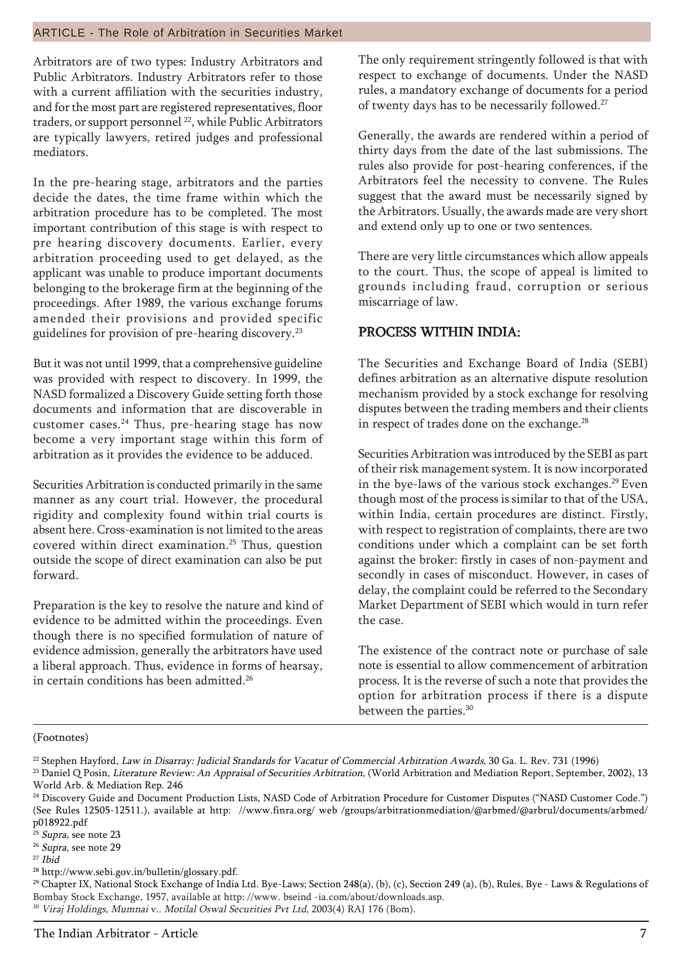#### ARTICLE - The Role of Arbitration in Securities Market

Arbitrators are of two types: Industry Arbitrators and Public Arbitrators. Industry Arbitrators refer to those with a current affiliation with the securities industry, and for the most part are registered representatives, floor traders, or support personnel<sup>22</sup>, while Public Arbitrators are typically lawyers, retired judges and professional mediators.

In the pre-hearing stage, arbitrators and the parties decide the dates, the time frame within which the arbitration procedure has to be completed. The most important contribution of this stage is with respect to pre hearing discovery documents. Earlier, every arbitration proceeding used to get delayed, as the applicant was unable to produce important documents belonging to the brokerage firm at the beginning of the proceedings. After 1989, the various exchange forums amended their provisions and provided specific guidelines for provision of pre-hearing discovery.23

But it was not until 1999, that a comprehensive guideline was provided with respect to discovery. In 1999, the NASD formalized a Discovery Guide setting forth those documents and information that are discoverable in customer cases.24 Thus, pre-hearing stage has now become a very important stage within this form of arbitration as it provides the evidence to be adduced.

Securities Arbitration is conducted primarily in the same manner as any court trial. However, the procedural rigidity and complexity found within trial courts is absent here. Cross-examination is not limited to the areas covered within direct examination.<sup>25</sup> Thus, question outside the scope of direct examination can also be put forward.

Preparation is the key to resolve the nature and kind of evidence to be admitted within the proceedings. Even though there is no specified formulation of nature of evidence admission, generally the arbitrators have used a liberal approach. Thus, evidence in forms of hearsay, in certain conditions has been admitted.<sup>26</sup>

The only requirement stringently followed is that with respect to exchange of documents. Under the NASD rules, a mandatory exchange of documents for a period of twenty days has to be necessarily followed.<sup>27</sup>

Generally, the awards are rendered within a period of thirty days from the date of the last submissions. The rules also provide for post-hearing conferences, if the Arbitrators feel the necessity to convene. The Rules suggest that the award must be necessarily signed by the Arbitrators. Usually, the awards made are very short and extend only up to one or two sentences.

There are very little circumstances which allow appeals to the court. Thus, the scope of appeal is limited to grounds including fraud, corruption or serious miscarriage of law.

#### PROCESS WITHIN INDIA: PROCESS WITHIN INDIA:

The Securities and Exchange Board of India (SEBI) defines arbitration as an alternative dispute resolution mechanism provided by a stock exchange for resolving disputes between the trading members and their clients in respect of trades done on the exchange. $^{28}$ 

Securities Arbitration was introduced by the SEBI as part of their risk management system. It is now incorporated in the bye-laws of the various stock exchanges. $^{29}$  Even though most of the process is similar to that of the USA, within India, certain procedures are distinct. Firstly, with respect to registration of complaints, there are two conditions under which a complaint can be set forth against the broker: firstly in cases of non-payment and secondly in cases of misconduct. However, in cases of delay, the complaint could be referred to the Secondary Market Department of SEBI which would in turn refer the case.

The existence of the contract note or purchase of sale note is essential to allow commencement of arbitration process. It is the reverse of such a note that provides the option for arbitration process if there is a dispute between the parties.<sup>30</sup>

#### (Footnotes)

28 http://www.sebi.gov.in/bulletin/glossary.pdf.

<sup>29</sup> Chapter IX, National Stock Exchange of India Ltd. Bye-Laws; Section 248(a), (b), (c), Section 249 (a), (b), Rules, Bye - Laws & Regulations of Bombay Stock Exchange, 1957, available at http: //www. bseind -ia.com/about/downloads.asp. <sup>30</sup> Viraj Holdings, Mumnai v.. Motilal Oswal Securities Pvt Ltd, 2003(4) RAJ 176 (Bom).

<sup>&</sup>lt;sup>22</sup> Stephen Hayford, *Law in Disarray: Judicial Standards for Vacatur of Commercial Arbitration Awards*, 30 Ga. L. Rev. 731 (1996)

<sup>&</sup>lt;sup>23</sup> Daniel Q Posin, Literature Review: An Appraisal of Securities Arbitration, (World Arbitration and Mediation Report, September, 2002), 13 World Arb. & Mediation Rep. 246

<sup>&</sup>lt;sup>24</sup> Discovery Guide and Document Production Lists, NASD Code of Arbitration Procedure for Customer Disputes ("NASD Customer Code.") (See Rules 12505-12511.), available at http: //www.finra.org/ web /groups/arbitrationmediation/@arbmed/@arbrul/documents/arbmed/ p018922.pdf

<sup>&</sup>lt;sup>25</sup> Supra, see note 23

<sup>&</sup>lt;sup>26</sup> Supra, see note 29

 $27$  Ibid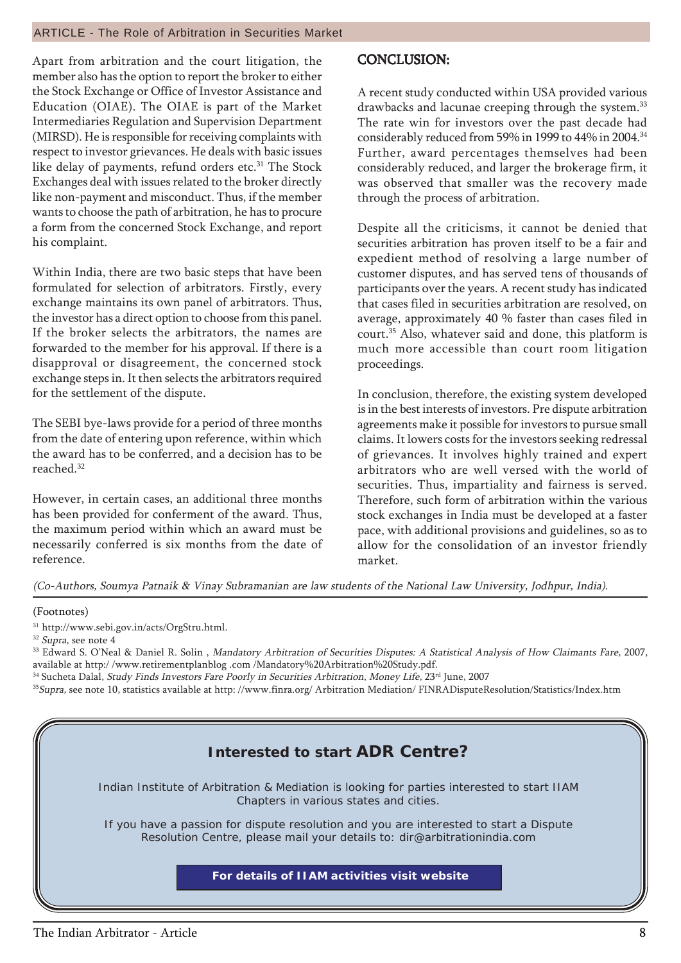#### ARTICLE - The Role of Arbitration in Securities Market

Apart from arbitration and the court litigation, the member also has the option to report the broker to either the Stock Exchange or Office of Investor Assistance and Education (OIAE). The OIAE is part of the Market Intermediaries Regulation and Supervision Department (MIRSD). He is responsible for receiving complaints with respect to investor grievances. He deals with basic issues like delay of payments, refund orders etc.<sup>31</sup> The Stock Exchanges deal with issues related to the broker directly like non-payment and misconduct. Thus, if the member wants to choose the path of arbitration, he has to procure a form from the concerned Stock Exchange, and report his complaint.

Within India, there are two basic steps that have been formulated for selection of arbitrators. Firstly, every exchange maintains its own panel of arbitrators. Thus, the investor has a direct option to choose from this panel. If the broker selects the arbitrators, the names are forwarded to the member for his approval. If there is a disapproval or disagreement, the concerned stock exchange steps in. It then selects the arbitrators required for the settlement of the dispute.

The SEBI bye-laws provide for a period of three months from the date of entering upon reference, within which the award has to be conferred, and a decision has to be reached.32

However, in certain cases, an additional three months has been provided for conferment of the award. Thus, the maximum period within which an award must be necessarily conferred is six months from the date of reference.

#### CONCLUSION: CONCLUSION:

A recent study conducted within USA provided various drawbacks and lacunae creeping through the system.<sup>33</sup> The rate win for investors over the past decade had considerably reduced from 59% in 1999 to 44% in 2004.34 Further, award percentages themselves had been considerably reduced, and larger the brokerage firm, it was observed that smaller was the recovery made through the process of arbitration.

Despite all the criticisms, it cannot be denied that securities arbitration has proven itself to be a fair and expedient method of resolving a large number of customer disputes, and has served tens of thousands of participants over the years. A recent study has indicated that cases filed in securities arbitration are resolved, on average, approximately 40 % faster than cases filed in court.35 Also, whatever said and done, this platform is much more accessible than court room litigation proceedings.

In conclusion, therefore, the existing system developed is in the best interests of investors. Pre dispute arbitration agreements make it possible for investors to pursue small claims. It lowers costs for the investors seeking redressal of grievances. It involves highly trained and expert arbitrators who are well versed with the world of securities. Thus, impartiality and fairness is served. Therefore, such form of arbitration within the various stock exchanges in India must be developed at a faster pace, with additional provisions and guidelines, so as to allow for the consolidation of an investor friendly market.

(Co-Authors, Soumya Patnaik & Vinay Subramanian are law students of the National Law University, Jodhpur, India).

#### (Footnotes)

31 http://www.sebi.gov.in/acts/OrgStru.html.

<sup>32</sup> Supra, see note 4

<sup>33</sup> Edward S. O'Neal & Daniel R. Solin, Mandatory Arbitration of Securities Disputes: A Statistical Analysis of How Claimants Fare, 2007, available at http:/ /www.retirementplanblog .com /Mandatory%20Arbitration%20Study.pdf.

- <sup>34</sup> Sucheta Dalal, *Study Finds Investors Fare Poorly in Securities Arbitration, Money Life, 23<sup>rd</sup> June, 2007*
- <sup>35</sup>Supra, see note 10, statistics available at http://www.finra.org/ Arbitration Mediation/ FINRADisputeResolution/Statistics/Index.htm

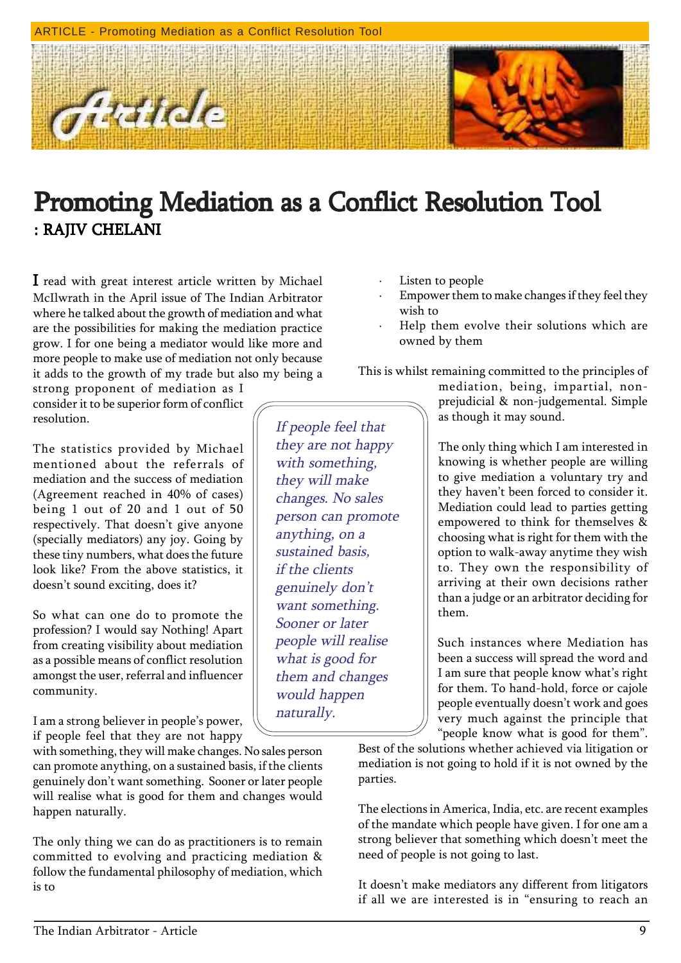

## Promoting Mediation as a Conflict Resolution Tool : RAJIV CHELANI

If people feel that they are not happy with something, they will make changes. No sales person can promote

anything, on a sustained basis, if the clients genuinely don't want something. Sooner or later people will realise what is good for them and changes would happen

naturally.

I read with great interest article written by Michael McIlwrath in the April issue of The Indian Arbitrator where he talked about the growth of mediation and what are the possibilities for making the mediation practice grow. I for one being a mediator would like more and more people to make use of mediation not only because it adds to the growth of my trade but also my being a

strong proponent of mediation as I consider it to be superior form of conflict resolution.

The statistics provided by Michael mentioned about the referrals of mediation and the success of mediation (Agreement reached in 40% of cases) being 1 out of 20 and 1 out of 50 respectively. That doesn't give anyone (specially mediators) any joy. Going by these tiny numbers, what does the future look like? From the above statistics, it doesn't sound exciting, does it?

So what can one do to promote the profession? I would say Nothing! Apart from creating visibility about mediation as a possible means of conflict resolution amongst the user, referral and influencer community.

I am a strong believer in people's power, if people feel that they are not happy

with something, they will make changes. No sales person can promote anything, on a sustained basis, if the clients genuinely don't want something. Sooner or later people will realise what is good for them and changes would happen naturally.

The only thing we can do as practitioners is to remain committed to evolving and practicing mediation & follow the fundamental philosophy of mediation, which is to

- Listen to people
- Empower them to make changes if they feel they wish to
- Help them evolve their solutions which are owned by them

This is whilst remaining committed to the principles of

mediation, being, impartial, nonprejudicial & non-judgemental. Simple as though it may sound.

The only thing which I am interested in knowing is whether people are willing to give mediation a voluntary try and they haven't been forced to consider it. Mediation could lead to parties getting empowered to think for themselves & choosing what is right for them with the option to walk-away anytime they wish to. They own the responsibility of arriving at their own decisions rather than a judge or an arbitrator deciding for them.

Such instances where Mediation has been a success will spread the word and I am sure that people know what's right for them. To hand-hold, force or cajole people eventually doesn't work and goes very much against the principle that "people know what is good for them".

Best of the solutions whether achieved via litigation or mediation is not going to hold if it is not owned by the parties.

The elections in America, India, etc. are recent examples of the mandate which people have given. I for one am a strong believer that something which doesn't meet the need of people is not going to last.

It doesn't make mediators any different from litigators if all we are interested is in "ensuring to reach an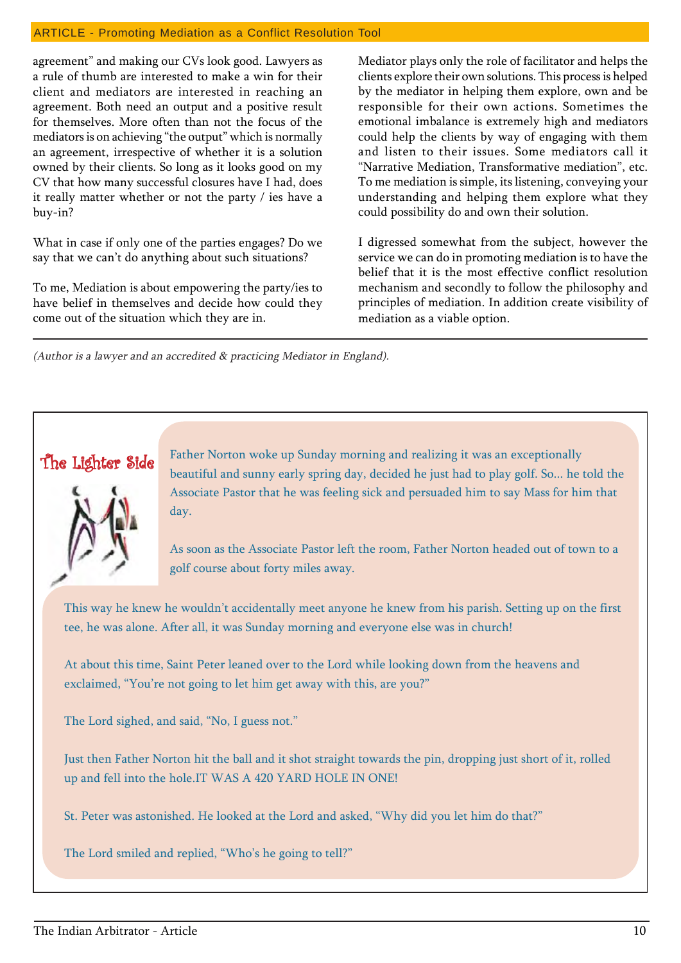#### ARTICLE - Promoting Mediation as a Conflict Resolution Tool

agreement" and making our CVs look good. Lawyers as a rule of thumb are interested to make a win for their client and mediators are interested in reaching an agreement. Both need an output and a positive result for themselves. More often than not the focus of the mediators is on achieving "the output" which is normally an agreement, irrespective of whether it is a solution owned by their clients. So long as it looks good on my CV that how many successful closures have I had, does it really matter whether or not the party / ies have a buy-in?

What in case if only one of the parties engages? Do we say that we can't do anything about such situations?

To me, Mediation is about empowering the party/ies to have belief in themselves and decide how could they come out of the situation which they are in.

Mediator plays only the role of facilitator and helps the clients explore their own solutions. This process is helped by the mediator in helping them explore, own and be responsible for their own actions. Sometimes the emotional imbalance is extremely high and mediators could help the clients by way of engaging with them and listen to their issues. Some mediators call it ìNarrative Mediation, Transformative mediationî, etc. To me mediation is simple, its listening, conveying your understanding and helping them explore what they could possibility do and own their solution.

I digressed somewhat from the subject, however the service we can do in promoting mediation is to have the belief that it is the most effective conflict resolution mechanism and secondly to follow the philosophy and principles of mediation. In addition create visibility of mediation as a viable option.

(Author is a lawyer and an accredited & practicing Mediator in England).



The Lighter Side Father Norton woke up Sunday morning and realizing it was an exceptionally beautiful and sunny early spring day, decided he just had to play golf. So... he told the Associate Pastor that he was feeling sick and persuaded him to say Mass for him that day.

> As soon as the Associate Pastor left the room, Father Norton headed out of town to a golf course about forty miles away.

This way he knew he wouldn't accidentally meet anyone he knew from his parish. Setting up on the first tee, he was alone. After all, it was Sunday morning and everyone else was in church!

At about this time, Saint Peter leaned over to the Lord while looking down from the heavens and exclaimed, "You're not going to let him get away with this, are you?"

The Lord sighed, and said, "No, I guess not."

Just then Father Norton hit the ball and it shot straight towards the pin, dropping just short of it, rolled up and fell into the hole.IT WAS A 420 YARD HOLE IN ONE!

St. Peter was astonished. He looked at the Lord and asked, "Why did you let him do that?"

The Lord smiled and replied, "Who's he going to tell?"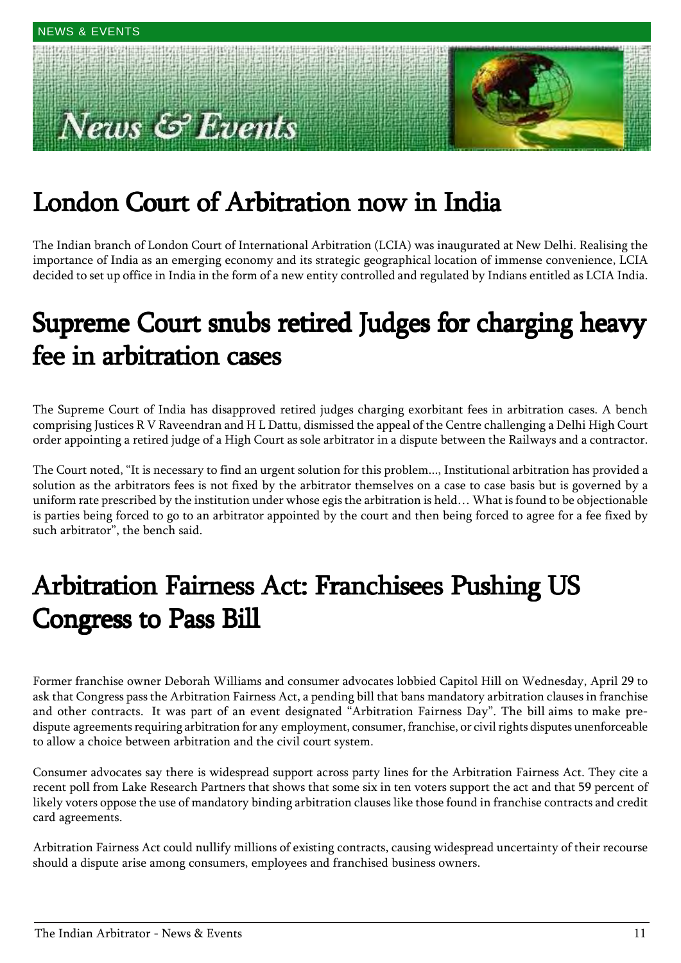# ews & Events



# London Court of Arbitration now in India

The Indian branch of London Court of International Arbitration (LCIA) was inaugurated at New Delhi. Realising the importance of India as an emerging economy and its strategic geographical location of immense convenience, LCIA decided to set up office in India in the form of a new entity controlled and regulated by Indians entitled as LCIA India.

# Supreme Court snubs retired Judges for charging heavy fee in arbitration cases

The Supreme Court of India has disapproved retired judges charging exorbitant fees in arbitration cases. A bench comprising Justices R V Raveendran and H L Dattu, dismissed the appeal of the Centre challenging a Delhi High Court order appointing a retired judge of a High Court as sole arbitrator in a dispute between the Railways and a contractor.

The Court noted, "It is necessary to find an urgent solution for this problem..., Institutional arbitration has provided a solution as the arbitrators fees is not fixed by the arbitrator themselves on a case to case basis but is governed by a uniform rate prescribed by the institution under whose egis the arbitration is held... What is found to be objectionable is parties being forced to go to an arbitrator appointed by the court and then being forced to agree for a fee fixed by such arbitrator", the bench said.

# Arbitration Fairness Act: Franchisees Pushing US Congress to Pass Bill

Former franchise owner Deborah Williams and consumer advocates lobbied Capitol Hill on Wednesday, April 29 to ask that Congress pass the Arbitration Fairness Act, a pending bill that bans mandatory arbitration clauses in franchise and other contracts. It was part of an event designated "Arbitration Fairness Day". The bill aims to make predispute agreements requiring arbitration for any employment, consumer, franchise, or civil rights disputes unenforceable to allow a choice between arbitration and the civil court system.

Consumer advocates say there is widespread support across party lines for the Arbitration Fairness Act. They cite a recent poll from Lake Research Partners that shows that some six in ten voters support the act and that 59 percent of likely voters oppose the use of mandatory binding arbitration clauses like those found in franchise contracts and credit card agreements.

Arbitration Fairness Act could nullify millions of existing contracts, causing widespread uncertainty of their recourse should a dispute arise among consumers, employees and franchised business owners.